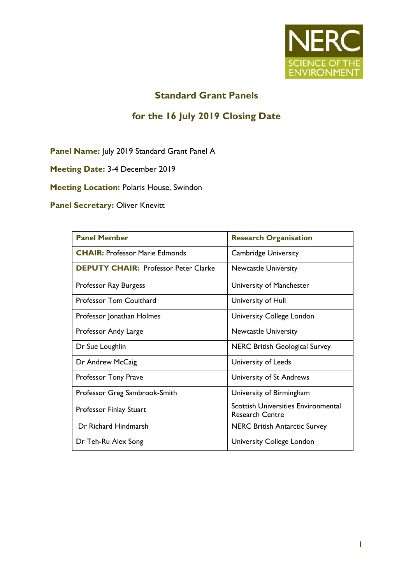

## **Standard Grant Panels**

### **for the 16 July 2019 Closing Date**

Panel Name: July 2019 Standard Grant Panel A

**Meeting Date:** 3-4 December 2019

**Meeting Location: Polaris House, Swindon** 

**Panel Secretary: Oliver Knevitt** 

| <b>Panel Member</b>                         | <b>Research Organisation</b>                                         |
|---------------------------------------------|----------------------------------------------------------------------|
| <b>CHAIR: Professor Marie Edmonds</b>       | <b>Cambridge University</b>                                          |
| <b>DEPUTY CHAIR: Professor Peter Clarke</b> | <b>Newcastle University</b>                                          |
| Professor Ray Burgess                       | University of Manchester                                             |
| <b>Professor Tom Coulthard</b>              | University of Hull                                                   |
| Professor Jonathan Holmes                   | University College London                                            |
| Professor Andy Large                        | <b>Newcastle University</b>                                          |
| Dr Sue Loughlin                             | <b>NERC British Geological Survey</b>                                |
| Dr Andrew McCaig                            | University of Leeds                                                  |
| <b>Professor Tony Prave</b>                 | University of St Andrews                                             |
| Professor Greg Sambrook-Smith               | University of Birmingham                                             |
| Professor Finlay Stuart                     | <b>Scottish Universities Environmental</b><br><b>Research Centre</b> |
| Dr Richard Hindmarsh                        | <b>NERC British Antarctic Survey</b>                                 |
| Dr Teh-Ru Alex Song                         | University College London                                            |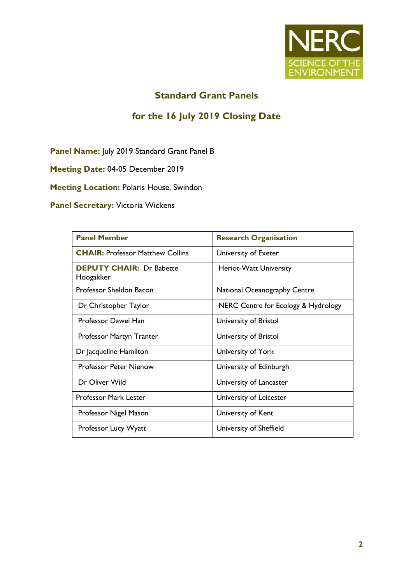

## **Standard Grant Panels**

# **for the 16 July 2019 Closing Date**

Panel Name: July 2019 Standard Grant Panel B

**Meeting Date:** 04-05 December 2019

**Meeting Location: Polaris House, Swindon** 

**Panel Secretary: Victoria Wickens** 

| <b>Panel Member</b>                          | <b>Research Organisation</b>        |
|----------------------------------------------|-------------------------------------|
| <b>CHAIR: Professor Matthew Collins</b>      | University of Exeter                |
| <b>DEPUTY CHAIR: Dr Babette</b><br>Hoogakker | Heriot-Watt University              |
| Professor Sheldon Bacon                      | National Oceanography Centre        |
| Dr Christopher Taylor                        | NERC Centre for Ecology & Hydrology |
| Professor Dawei Han                          | University of Bristol               |
| Professor Martyn Tranter                     | University of Bristol               |
| Dr Jacqueline Hamilton                       | University of York                  |
| <b>Professor Peter Nienow</b>                | University of Edinburgh             |
| Dr Oliver Wild                               | University of Lancaster             |
| <b>Professor Mark Lester</b>                 | University of Leicester             |
| Professor Nigel Mason                        | University of Kent                  |
| Professor Lucy Wyatt                         | University of Sheffield             |